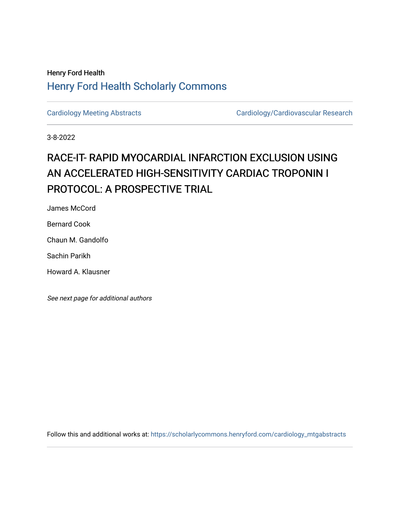## Henry Ford Health [Henry Ford Health Scholarly Commons](https://scholarlycommons.henryford.com/)

[Cardiology Meeting Abstracts](https://scholarlycommons.henryford.com/cardiology_mtgabstracts) Cardiology/Cardiovascular Research

3-8-2022

# RACE-IT- RAPID MYOCARDIAL INFARCTION EXCLUSION USING AN ACCELERATED HIGH-SENSITIVITY CARDIAC TROPONIN I PROTOCOL: A PROSPECTIVE TRIAL

James McCord

Bernard Cook

Chaun M. Gandolfo

Sachin Parikh

Howard A. Klausner

See next page for additional authors

Follow this and additional works at: [https://scholarlycommons.henryford.com/cardiology\\_mtgabstracts](https://scholarlycommons.henryford.com/cardiology_mtgabstracts?utm_source=scholarlycommons.henryford.com%2Fcardiology_mtgabstracts%2F330&utm_medium=PDF&utm_campaign=PDFCoverPages)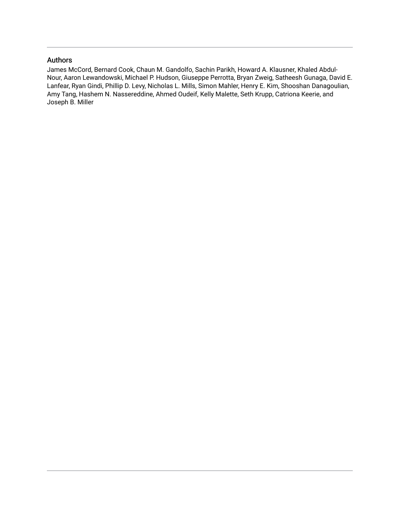#### Authors

James McCord, Bernard Cook, Chaun M. Gandolfo, Sachin Parikh, Howard A. Klausner, Khaled Abdul-Nour, Aaron Lewandowski, Michael P. Hudson, Giuseppe Perrotta, Bryan Zweig, Satheesh Gunaga, David E. Lanfear, Ryan Gindi, Phillip D. Levy, Nicholas L. Mills, Simon Mahler, Henry E. Kim, Shooshan Danagoulian, Amy Tang, Hashem N. Nassereddine, Ahmed Oudeif, Kelly Malette, Seth Krupp, Catriona Keerie, and Joseph B. Miller